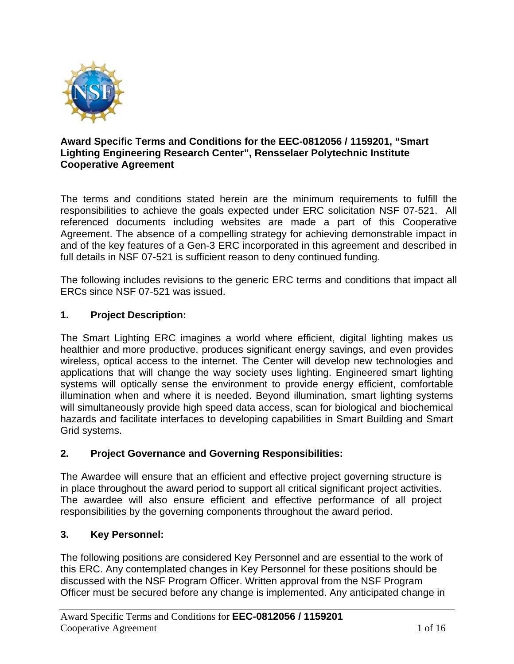

#### **Award Specific Terms and Conditions for the EEC-0812056 / 1159201, "Smart Lighting Engineering Research Center", Rensselaer Polytechnic Institute Cooperative Agreement**

The terms and conditions stated herein are the minimum requirements to fulfill the responsibilities to achieve the goals expected under ERC solicitation NSF 07-521. All referenced documents including websites are made a part of this Cooperative Agreement. The absence of a compelling strategy for achieving demonstrable impact in and of the key features of a Gen-3 ERC incorporated in this agreement and described in full details in NSF 07-521 is sufficient reason to deny continued funding.

The following includes revisions to the generic ERC terms and conditions that impact all ERCs since NSF 07-521 was issued.

# **1. Project Description:**

The Smart Lighting ERC imagines a world where efficient, digital lighting makes us healthier and more productive, produces significant energy savings, and even provides wireless, optical access to the internet. The Center will develop new technologies and applications that will change the way society uses lighting. Engineered smart lighting systems will optically sense the environment to provide energy efficient, comfortable illumination when and where it is needed. Beyond illumination, smart lighting systems will simultaneously provide high speed data access, scan for biological and biochemical hazards and facilitate interfaces to developing capabilities in Smart Building and Smart Grid systems.

### **2. Project Governance and Governing Responsibilities:**

The Awardee will ensure that an efficient and effective project governing structure is in place throughout the award period to support all critical significant project activities. The awardee will also ensure efficient and effective performance of all project responsibilities by the governing components throughout the award period.

### **3. Key Personnel:**

The following positions are considered Key Personnel and are essential to the work of this ERC. Any contemplated changes in Key Personnel for these positions should be discussed with the NSF Program Officer. Written approval from the NSF Program Officer must be secured before any change is implemented. Any anticipated change in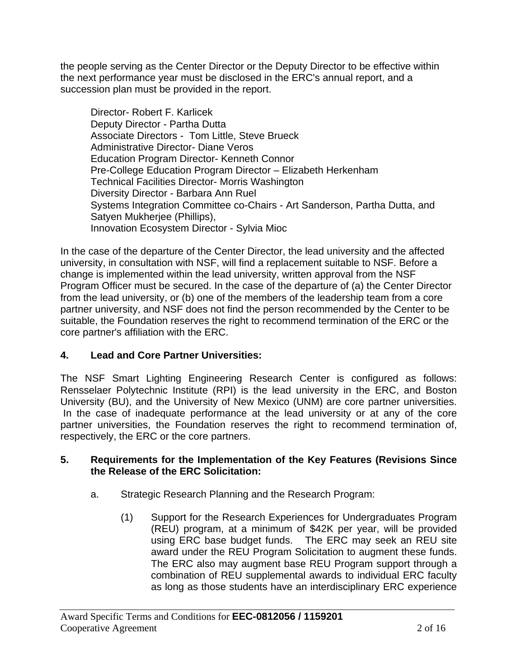the people serving as the Center Director or the Deputy Director to be effective within the next performance year must be disclosed in the ERC's annual report, and a succession plan must be provided in the report.

Director- Robert F. Karlicek Deputy Director - Partha Dutta Associate Directors - Tom Little, Steve Brueck Administrative Director- Diane Veros Education Program Director- Kenneth Connor Pre-College Education Program Director – Elizabeth Herkenham Technical Facilities Director- Morris Washington Diversity Director - Barbara Ann Ruel Systems Integration Committee co-Chairs - Art Sanderson, Partha Dutta, and Satyen Mukherjee (Phillips), Innovation Ecosystem Director - Sylvia Mioc

In the case of the departure of the Center Director, the lead university and the affected university, in consultation with NSF, will find a replacement suitable to NSF. Before a change is implemented within the lead university, written approval from the NSF Program Officer must be secured. In the case of the departure of (a) the Center Director from the lead university, or (b) one of the members of the leadership team from a core partner university, and NSF does not find the person recommended by the Center to be suitable, the Foundation reserves the right to recommend termination of the ERC or the core partner's affiliation with the ERC.

# **4. Lead and Core Partner Universities:**

The NSF Smart Lighting Engineering Research Center is configured as follows: Rensselaer Polytechnic Institute (RPI) is the lead university in the ERC, and Boston University (BU), and the University of New Mexico (UNM) are core partner universities. In the case of inadequate performance at the lead university or at any of the core partner universities, the Foundation reserves the right to recommend termination of, respectively, the ERC or the core partners.

# **5. Requirements for the Implementation of the Key Features (Revisions Since the Release of the ERC Solicitation:**

- a. Strategic Research Planning and the Research Program:
	- (1) Support for the Research Experiences for Undergraduates Program (REU) program, at a minimum of \$42K per year, will be provided using ERC base budget funds. The ERC may seek an REU site award under the REU Program Solicitation to augment these funds. The ERC also may augment base REU Program support through a combination of REU supplemental awards to individual ERC faculty as long as those students have an interdisciplinary ERC experience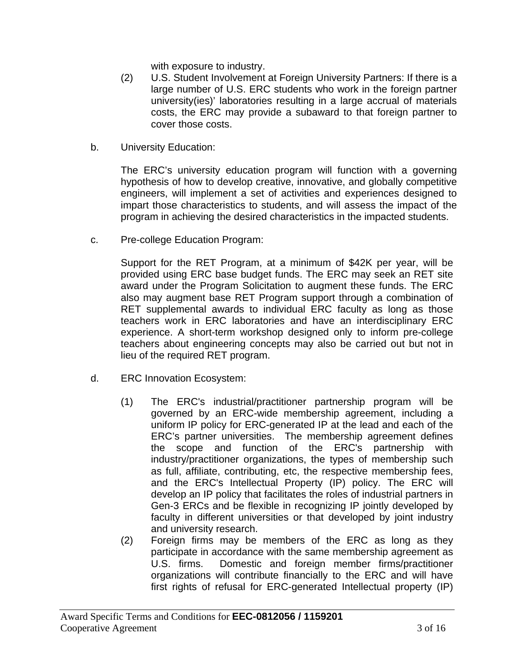with exposure to industry.

- (2) U.S. Student Involvement at Foreign University Partners: If there is a large number of U.S. ERC students who work in the foreign partner university(ies)' laboratories resulting in a large accrual of materials costs, the ERC may provide a subaward to that foreign partner to cover those costs.
- b. University Education:

The ERC's university education program will function with a governing hypothesis of how to develop creative, innovative, and globally competitive engineers, will implement a set of activities and experiences designed to impart those characteristics to students, and will assess the impact of the program in achieving the desired characteristics in the impacted students.

c. Pre-college Education Program:

Support for the RET Program, at a minimum of \$42K per year, will be provided using ERC base budget funds. The ERC may seek an RET site award under the Program Solicitation to augment these funds. The ERC also may augment base RET Program support through a combination of RET supplemental awards to individual ERC faculty as long as those teachers work in ERC laboratories and have an interdisciplinary ERC experience. A short-term workshop designed only to inform pre-college teachers about engineering concepts may also be carried out but not in lieu of the required RET program.

- d. ERC Innovation Ecosystem:
	- (1) The ERC's industrial/practitioner partnership program will be governed by an ERC-wide membership agreement, including a uniform IP policy for ERC-generated IP at the lead and each of the ERC's partner universities. The membership agreement defines the scope and function of the ERC's partnership with industry/practitioner organizations, the types of membership such as full, affiliate, contributing, etc, the respective membership fees, and the ERC's Intellectual Property (IP) policy. The ERC will develop an IP policy that facilitates the roles of industrial partners in Gen-3 ERCs and be flexible in recognizing IP jointly developed by faculty in different universities or that developed by joint industry and university research.
	- (2) Foreign firms may be members of the ERC as long as they participate in accordance with the same membership agreement as U.S. firms. Domestic and foreign member firms/practitioner organizations will contribute financially to the ERC and will have first rights of refusal for ERC-generated Intellectual property (IP)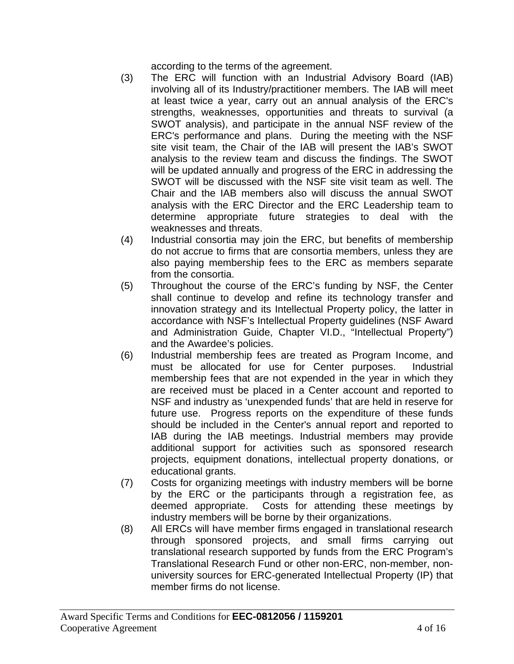according to the terms of the agreement.

- (3) The ERC will function with an Industrial Advisory Board (IAB) involving all of its Industry/practitioner members. The IAB will meet at least twice a year, carry out an annual analysis of the ERC's strengths, weaknesses, opportunities and threats to survival (a SWOT analysis), and participate in the annual NSF review of the ERC's performance and plans. During the meeting with the NSF site visit team, the Chair of the IAB will present the IAB's SWOT analysis to the review team and discuss the findings. The SWOT will be updated annually and progress of the ERC in addressing the SWOT will be discussed with the NSF site visit team as well. The Chair and the IAB members also will discuss the annual SWOT analysis with the ERC Director and the ERC Leadership team to determine appropriate future strategies to deal with the weaknesses and threats.
- (4) Industrial consortia may join the ERC, but benefits of membership do not accrue to firms that are consortia members, unless they are also paying membership fees to the ERC as members separate from the consortia.
- (5) Throughout the course of the ERC's funding by NSF, the Center shall continue to develop and refine its technology transfer and innovation strategy and its Intellectual Property policy, the latter in accordance with NSF's Intellectual Property guidelines (NSF Award and Administration Guide, Chapter VI.D., "Intellectual Property") and the Awardee's policies.
- (6) Industrial membership fees are treated as Program Income, and must be allocated for use for Center purposes. Industrial membership fees that are not expended in the year in which they are received must be placed in a Center account and reported to NSF and industry as 'unexpended funds' that are held in reserve for future use. Progress reports on the expenditure of these funds should be included in the Center's annual report and reported to IAB during the IAB meetings. Industrial members may provide additional support for activities such as sponsored research projects, equipment donations, intellectual property donations, or educational grants.
- (7) Costs for organizing meetings with industry members will be borne by the ERC or the participants through a registration fee, as deemed appropriate. Costs for attending these meetings by industry members will be borne by their organizations.
- (8) All ERCs will have member firms engaged in translational research through sponsored projects, and small firms carrying out translational research supported by funds from the ERC Program's Translational Research Fund or other non-ERC, non-member, nonuniversity sources for ERC-generated Intellectual Property (IP) that member firms do not license.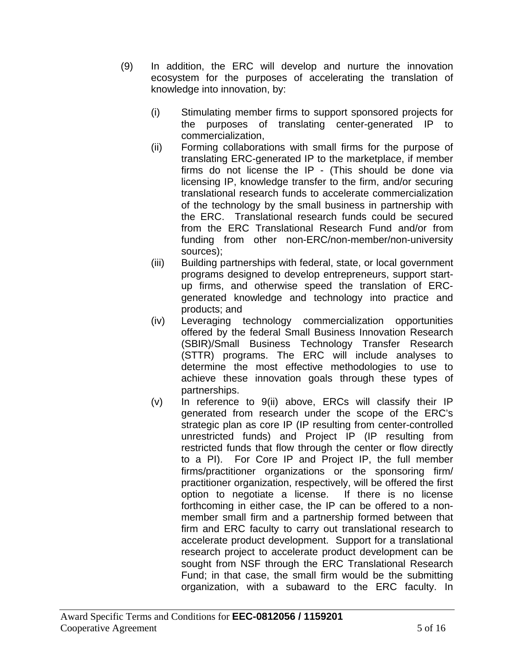- (9) In addition, the ERC will develop and nurture the innovation ecosystem for the purposes of accelerating the translation of knowledge into innovation, by:
	- (i) Stimulating member firms to support sponsored projects for the purposes of translating center-generated IP to commercialization,
	- (ii) Forming collaborations with small firms for the purpose of translating ERC-generated IP to the marketplace, if member firms do not license the IP - (This should be done via licensing IP, knowledge transfer to the firm, and/or securing translational research funds to accelerate commercialization of the technology by the small business in partnership with the ERC. Translational research funds could be secured from the ERC Translational Research Fund and/or from funding from other non-ERC/non-member/non-university sources);
	- (iii) Building partnerships with federal, state, or local government programs designed to develop entrepreneurs, support startup firms, and otherwise speed the translation of ERCgenerated knowledge and technology into practice and products; and
	- (iv) Leveraging technology commercialization opportunities offered by the federal Small Business Innovation Research (SBIR)/Small Business Technology Transfer Research (STTR) programs. The ERC will include analyses to determine the most effective methodologies to use to achieve these innovation goals through these types of partnerships.
	- (v) In reference to 9(ii) above, ERCs will classify their IP generated from research under the scope of the ERC's strategic plan as core IP (IP resulting from center-controlled unrestricted funds) and Project IP (IP resulting from restricted funds that flow through the center or flow directly to a PI). For Core IP and Project IP, the full member firms/practitioner organizations or the sponsoring firm/ practitioner organization, respectively, will be offered the first option to negotiate a license. If there is no license forthcoming in either case, the IP can be offered to a nonmember small firm and a partnership formed between that firm and ERC faculty to carry out translational research to accelerate product development. Support for a translational research project to accelerate product development can be sought from NSF through the ERC Translational Research Fund; in that case, the small firm would be the submitting organization, with a subaward to the ERC faculty. In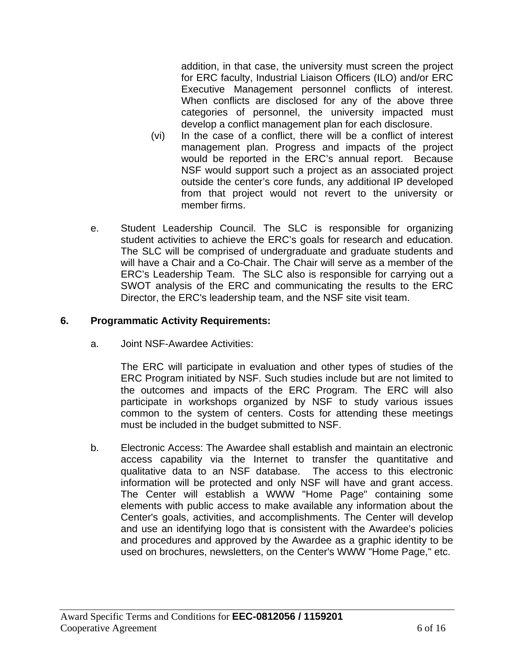addition, in that case, the university must screen the project for ERC faculty, Industrial Liaison Officers (ILO) and/or ERC Executive Management personnel conflicts of interest. When conflicts are disclosed for any of the above three categories of personnel, the university impacted must develop a conflict management plan for each disclosure.

- (vi) In the case of a conflict, there will be a conflict of interest management plan. Progress and impacts of the project would be reported in the ERC's annual report. Because NSF would support such a project as an associated project outside the center's core funds, any additional IP developed from that project would not revert to the university or member firms.
- e. Student Leadership Council. The SLC is responsible for organizing student activities to achieve the ERC's goals for research and education. The SLC will be comprised of undergraduate and graduate students and will have a Chair and a Co-Chair. The Chair will serve as a member of the ERC's Leadership Team. The SLC also is responsible for carrying out a SWOT analysis of the ERC and communicating the results to the ERC Director, the ERC's leadership team, and the NSF site visit team.

# **6. Programmatic Activity Requirements:**

a. Joint NSF-Awardee Activities:

The ERC will participate in evaluation and other types of studies of the ERC Program initiated by NSF. Such studies include but are not limited to the outcomes and impacts of the ERC Program. The ERC will also participate in workshops organized by NSF to study various issues common to the system of centers. Costs for attending these meetings must be included in the budget submitted to NSF.

b. Electronic Access: The Awardee shall establish and maintain an electronic access capability via the Internet to transfer the quantitative and qualitative data to an NSF database. The access to this electronic information will be protected and only NSF will have and grant access. The Center will establish a WWW "Home Page" containing some elements with public access to make available any information about the Center's goals, activities, and accomplishments. The Center will develop and use an identifying logo that is consistent with the Awardee's policies and procedures and approved by the Awardee as a graphic identity to be used on brochures, newsletters, on the Center's WWW "Home Page," etc.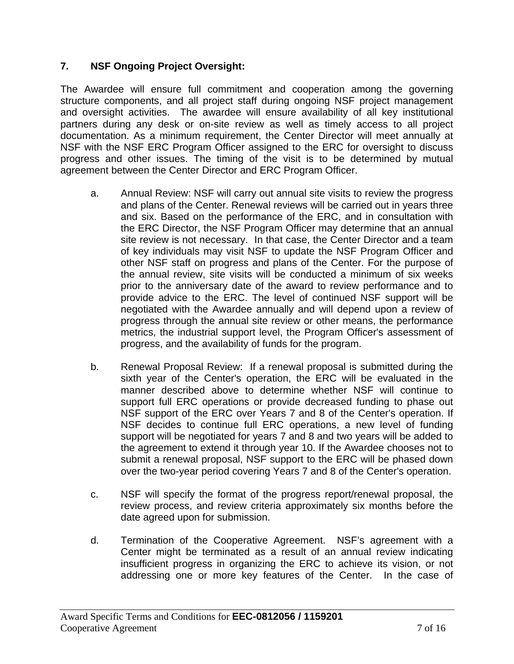# **7. NSF Ongoing Project Oversight:**

The Awardee will ensure full commitment and cooperation among the governing structure components, and all project staff during ongoing NSF project management and oversight activities. The awardee will ensure availability of all key institutional partners during any desk or on-site review as well as timely access to all project documentation. As a minimum requirement, the Center Director will meet annually at NSF with the NSF ERC Program Officer assigned to the ERC for oversight to discuss progress and other issues. The timing of the visit is to be determined by mutual agreement between the Center Director and ERC Program Officer.

- a. Annual Review: NSF will carry out annual site visits to review the progress and plans of the Center. Renewal reviews will be carried out in years three and six. Based on the performance of the ERC, and in consultation with the ERC Director, the NSF Program Officer may determine that an annual site review is not necessary. In that case, the Center Director and a team of key individuals may visit NSF to update the NSF Program Officer and other NSF staff on progress and plans of the Center. For the purpose of the annual review, site visits will be conducted a minimum of six weeks prior to the anniversary date of the award to review performance and to provide advice to the ERC. The level of continued NSF support will be negotiated with the Awardee annually and will depend upon a review of progress through the annual site review or other means, the performance metrics, the industrial support level, the Program Officer's assessment of progress, and the availability of funds for the program.
- b. Renewal Proposal Review: If a renewal proposal is submitted during the sixth year of the Center's operation, the ERC will be evaluated in the manner described above to determine whether NSF will continue to support full ERC operations or provide decreased funding to phase out NSF support of the ERC over Years 7 and 8 of the Center's operation. If NSF decides to continue full ERC operations, a new level of funding support will be negotiated for years 7 and 8 and two years will be added to the agreement to extend it through year 10. If the Awardee chooses not to submit a renewal proposal, NSF support to the ERC will be phased down over the two-year period covering Years 7 and 8 of the Center's operation.
- c. NSF will specify the format of the progress report/renewal proposal, the review process, and review criteria approximately six months before the date agreed upon for submission.
- d. Termination of the Cooperative Agreement. NSF's agreement with a Center might be terminated as a result of an annual review indicating insufficient progress in organizing the ERC to achieve its vision, or not addressing one or more key features of the Center. In the case of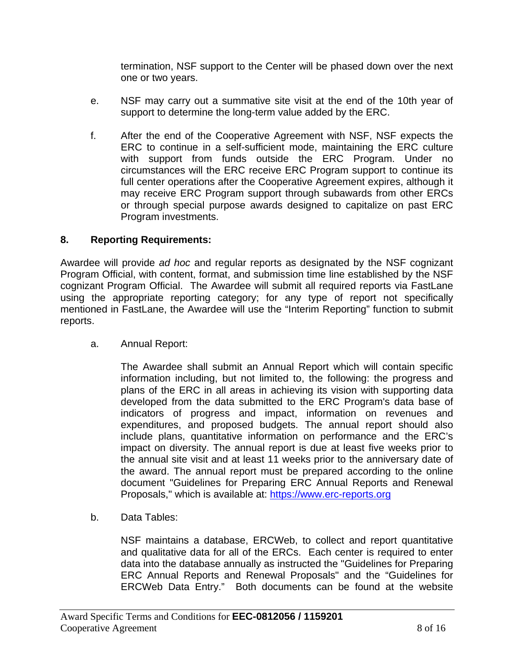termination, NSF support to the Center will be phased down over the next one or two years.

- e. NSF may carry out a summative site visit at the end of the 10th year of support to determine the long-term value added by the ERC.
- f. After the end of the Cooperative Agreement with NSF, NSF expects the ERC to continue in a self-sufficient mode, maintaining the ERC culture with support from funds outside the ERC Program. Under no circumstances will the ERC receive ERC Program support to continue its full center operations after the Cooperative Agreement expires, although it may receive ERC Program support through subawards from other ERCs or through special purpose awards designed to capitalize on past ERC Program investments.

### **8. Reporting Requirements:**

Awardee will provide *ad hoc* and regular reports as designated by the NSF cognizant Program Official, with content, format, and submission time line established by the NSF cognizant Program Official. The Awardee will submit all required reports via FastLane using the appropriate reporting category; for any type of report not specifically mentioned in FastLane, the Awardee will use the "Interim Reporting" function to submit reports.

a. Annual Report:

The Awardee shall submit an Annual Report which will contain specific information including, but not limited to, the following: the progress and plans of the ERC in all areas in achieving its vision with supporting data developed from the data submitted to the ERC Program's data base of indicators of progress and impact, information on revenues and expenditures, and proposed budgets. The annual report should also include plans, quantitative information on performance and the ERC's impact on diversity. The annual report is due at least five weeks prior to the annual site visit and at least 11 weeks prior to the anniversary date of the award. The annual report must be prepared according to the online document "Guidelines for Preparing ERC Annual Reports and Renewal Proposals," which is available at: https://www.erc-reports.org

b. Data Tables:

NSF maintains a database, ERCWeb, to collect and report quantitative and qualitative data for all of the ERCs. Each center is required to enter data into the database annually as instructed the "Guidelines for Preparing ERC Annual Reports and Renewal Proposals" and the "Guidelines for ERCWeb Data Entry." Both documents can be found at the website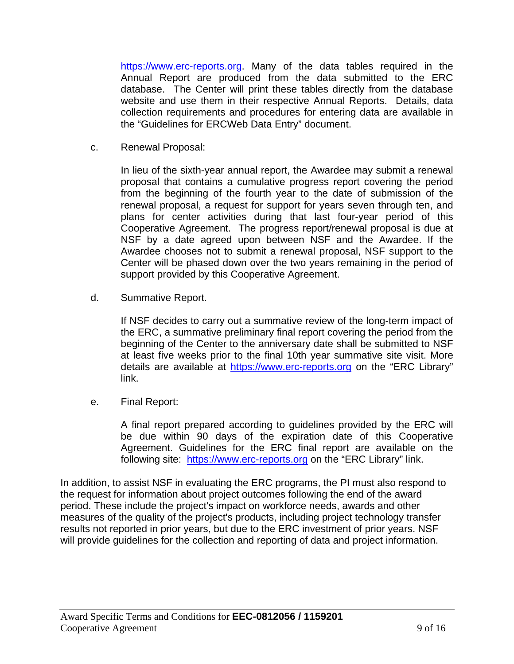https://www.erc-reports.org. Many of the data tables required in the Annual Report are produced from the data submitted to the ERC database. The Center will print these tables directly from the database website and use them in their respective Annual Reports. Details, data collection requirements and procedures for entering data are available in the "Guidelines for ERCWeb Data Entry" document.

c. Renewal Proposal:

In lieu of the sixth-year annual report, the Awardee may submit a renewal proposal that contains a cumulative progress report covering the period from the beginning of the fourth year to the date of submission of the renewal proposal, a request for support for years seven through ten, and plans for center activities during that last four-year period of this Cooperative Agreement. The progress report/renewal proposal is due at NSF by a date agreed upon between NSF and the Awardee. If the Awardee chooses not to submit a renewal proposal, NSF support to the Center will be phased down over the two years remaining in the period of support provided by this Cooperative Agreement.

d. Summative Report.

If NSF decides to carry out a summative review of the long-term impact of the ERC, a summative preliminary final report covering the period from the beginning of the Center to the anniversary date shall be submitted to NSF at least five weeks prior to the final 10th year summative site visit. More details are available at https://www.erc-reports.org on the "ERC Library" link.

e. Final Report:

A final report prepared according to guidelines provided by the ERC will be due within 90 days of the expiration date of this Cooperative Agreement. Guidelines for the ERC final report are available on the following site: https://www.erc-reports.org on the "ERC Library" link.

In addition, to assist NSF in evaluating the ERC programs, the PI must also respond to the request for information about project outcomes following the end of the award period. These include the project's impact on workforce needs, awards and other measures of the quality of the project's products, including project technology transfer results not reported in prior years, but due to the ERC investment of prior years. NSF will provide guidelines for the collection and reporting of data and project information.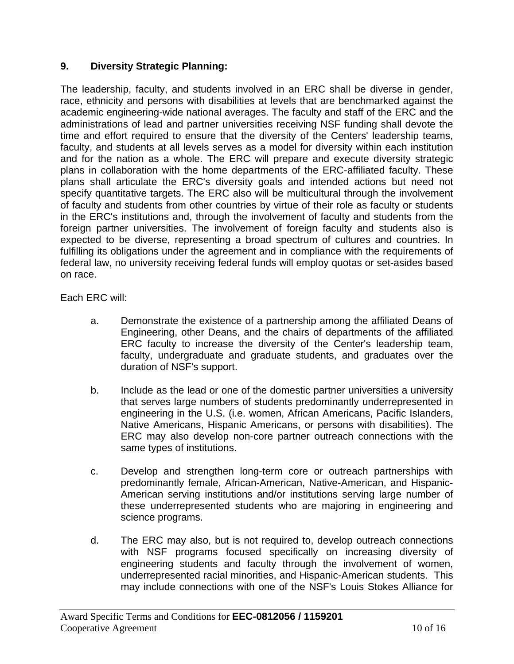# **9. Diversity Strategic Planning:**

The leadership, faculty, and students involved in an ERC shall be diverse in gender, race, ethnicity and persons with disabilities at levels that are benchmarked against the academic engineering-wide national averages. The faculty and staff of the ERC and the administrations of lead and partner universities receiving NSF funding shall devote the time and effort required to ensure that the diversity of the Centers' leadership teams, faculty, and students at all levels serves as a model for diversity within each institution and for the nation as a whole. The ERC will prepare and execute diversity strategic plans in collaboration with the home departments of the ERC-affiliated faculty. These plans shall articulate the ERC's diversity goals and intended actions but need not specify quantitative targets. The ERC also will be multicultural through the involvement of faculty and students from other countries by virtue of their role as faculty or students in the ERC's institutions and, through the involvement of faculty and students from the foreign partner universities. The involvement of foreign faculty and students also is expected to be diverse, representing a broad spectrum of cultures and countries. In fulfilling its obligations under the agreement and in compliance with the requirements of federal law, no university receiving federal funds will employ quotas or set-asides based on race.

Each ERC will:

- a. Demonstrate the existence of a partnership among the affiliated Deans of Engineering, other Deans, and the chairs of departments of the affiliated ERC faculty to increase the diversity of the Center's leadership team, faculty, undergraduate and graduate students, and graduates over the duration of NSF's support.
- b. Include as the lead or one of the domestic partner universities a university that serves large numbers of students predominantly underrepresented in engineering in the U.S. (i.e. women, African Americans, Pacific Islanders, Native Americans, Hispanic Americans, or persons with disabilities). The ERC may also develop non-core partner outreach connections with the same types of institutions.
- c. Develop and strengthen long-term core or outreach partnerships with predominantly female, African-American, Native-American, and Hispanic-American serving institutions and/or institutions serving large number of these underrepresented students who are majoring in engineering and science programs.
- d. The ERC may also, but is not required to, develop outreach connections with NSF programs focused specifically on increasing diversity of engineering students and faculty through the involvement of women, underrepresented racial minorities, and Hispanic-American students. This may include connections with one of the NSF's Louis Stokes Alliance for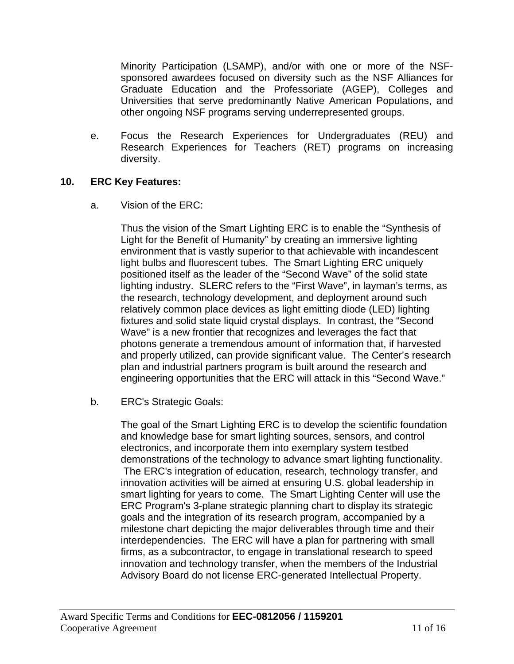Minority Participation (LSAMP), and/or with one or more of the NSFsponsored awardees focused on diversity such as the NSF Alliances for Graduate Education and the Professoriate (AGEP), Colleges and Universities that serve predominantly Native American Populations, and other ongoing NSF programs serving underrepresented groups.

e. Focus the Research Experiences for Undergraduates (REU) and Research Experiences for Teachers (RET) programs on increasing diversity.

### **10. ERC Key Features:**

a. Vision of the ERC:

Thus the vision of the Smart Lighting ERC is to enable the "Synthesis of Light for the Benefit of Humanity" by creating an immersive lighting environment that is vastly superior to that achievable with incandescent light bulbs and fluorescent tubes. The Smart Lighting ERC uniquely positioned itself as the leader of the "Second Wave" of the solid state lighting industry. SLERC refers to the "First Wave", in layman's terms, as the research, technology development, and deployment around such relatively common place devices as light emitting diode (LED) lighting fixtures and solid state liquid crystal displays. In contrast, the "Second Wave" is a new frontier that recognizes and leverages the fact that photons generate a tremendous amount of information that, if harvested and properly utilized, can provide significant value. The Center's research plan and industrial partners program is built around the research and engineering opportunities that the ERC will attack in this "Second Wave."

b. ERC's Strategic Goals:

The goal of the Smart Lighting ERC is to develop the scientific foundation and knowledge base for smart lighting sources, sensors, and control electronics, and incorporate them into exemplary system testbed demonstrations of the technology to advance smart lighting functionality. The ERC's integration of education, research, technology transfer, and innovation activities will be aimed at ensuring U.S. global leadership in smart lighting for years to come. The Smart Lighting Center will use the ERC Program's 3-plane strategic planning chart to display its strategic goals and the integration of its research program, accompanied by a milestone chart depicting the major deliverables through time and their interdependencies. The ERC will have a plan for partnering with small firms, as a subcontractor, to engage in translational research to speed innovation and technology transfer, when the members of the Industrial Advisory Board do not license ERC-generated Intellectual Property.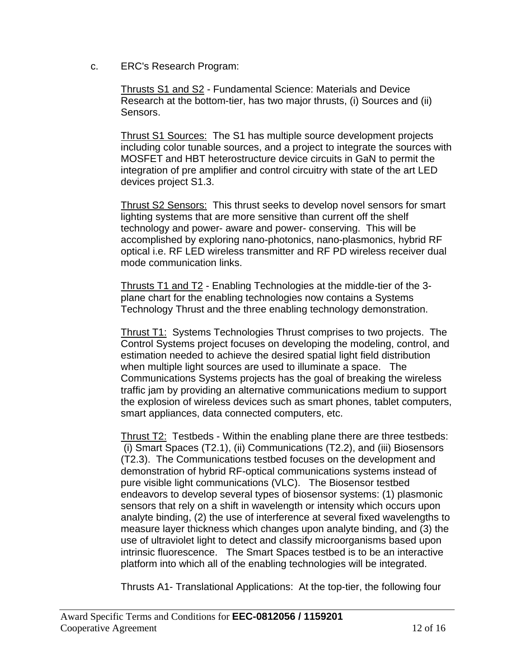c. ERC's Research Program:

Thrusts S1 and S2 - Fundamental Science: Materials and Device Research at the bottom-tier, has two major thrusts, (i) Sources and (ii) Sensors.

Thrust S1 Sources: The S1 has multiple source development projects including color tunable sources, and a project to integrate the sources with MOSFET and HBT heterostructure device circuits in GaN to permit the integration of pre amplifier and control circuitry with state of the art LED devices project S1.3.

Thrust S2 Sensors: This thrust seeks to develop novel sensors for smart lighting systems that are more sensitive than current off the shelf technology and power- aware and power- conserving. This will be accomplished by exploring nano-photonics, nano-plasmonics, hybrid RF optical i.e. RF LED wireless transmitter and RF PD wireless receiver dual mode communication links.

Thrusts T1 and T2 - Enabling Technologies at the middle-tier of the 3 plane chart for the enabling technologies now contains a Systems Technology Thrust and the three enabling technology demonstration.

Thrust T1: Systems Technologies Thrust comprises to two projects. The Control Systems project focuses on developing the modeling, control, and estimation needed to achieve the desired spatial light field distribution when multiple light sources are used to illuminate a space. The Communications Systems projects has the goal of breaking the wireless traffic jam by providing an alternative communications medium to support the explosion of wireless devices such as smart phones, tablet computers, smart appliances, data connected computers, etc.

Thrust T2: Testbeds - Within the enabling plane there are three testbeds: (i) Smart Spaces (T2.1), (ii) Communications (T2.2), and (iii) Biosensors (T2.3). The Communications testbed focuses on the development and demonstration of hybrid RF-optical communications systems instead of pure visible light communications (VLC). The Biosensor testbed endeavors to develop several types of biosensor systems: (1) plasmonic sensors that rely on a shift in wavelength or intensity which occurs upon analyte binding, (2) the use of interference at several fixed wavelengths to measure layer thickness which changes upon analyte binding, and (3) the use of ultraviolet light to detect and classify microorganisms based upon intrinsic fluorescence. The Smart Spaces testbed is to be an interactive platform into which all of the enabling technologies will be integrated.

Thrusts A1- Translational Applications: At the top-tier, the following four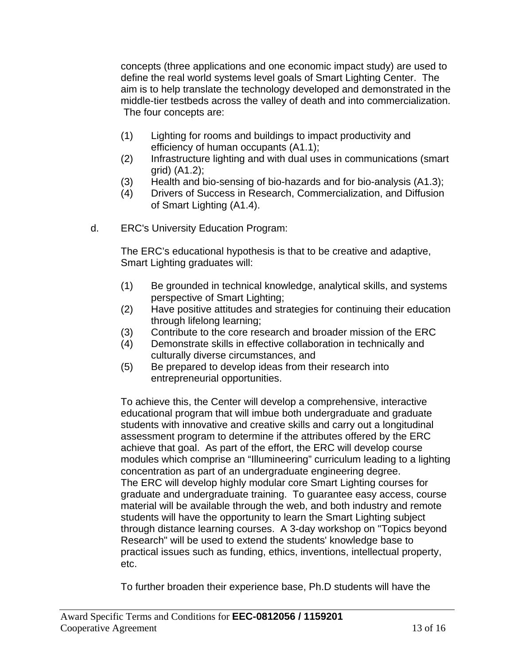concepts (three applications and one economic impact study) are used to define the real world systems level goals of Smart Lighting Center. The aim is to help translate the technology developed and demonstrated in the middle-tier testbeds across the valley of death and into commercialization. The four concepts are:

- (1) Lighting for rooms and buildings to impact productivity and efficiency of human occupants (A1.1);
- (2) Infrastructure lighting and with dual uses in communications (smart grid) (A1.2);
- (3) Health and bio-sensing of bio-hazards and for bio-analysis (A1.3);
- (4) Drivers of Success in Research, Commercialization, and Diffusion of Smart Lighting (A1.4).
- d. ERC's University Education Program:

The ERC's educational hypothesis is that to be creative and adaptive, Smart Lighting graduates will:

- (1) Be grounded in technical knowledge, analytical skills, and systems perspective of Smart Lighting;
- (2) Have positive attitudes and strategies for continuing their education through lifelong learning;
- (3) Contribute to the core research and broader mission of the ERC
- (4) Demonstrate skills in effective collaboration in technically and culturally diverse circumstances, and
- (5) Be prepared to develop ideas from their research into entrepreneurial opportunities.

To achieve this, the Center will develop a comprehensive, interactive educational program that will imbue both undergraduate and graduate students with innovative and creative skills and carry out a longitudinal assessment program to determine if the attributes offered by the ERC achieve that goal. As part of the effort, the ERC will develop course modules which comprise an "Illumineering" curriculum leading to a lighting concentration as part of an undergraduate engineering degree. The ERC will develop highly modular core Smart Lighting courses for graduate and undergraduate training. To guarantee easy access, course material will be available through the web, and both industry and remote students will have the opportunity to learn the Smart Lighting subject through distance learning courses. A 3-day workshop on "Topics beyond Research" will be used to extend the students' knowledge base to practical issues such as funding, ethics, inventions, intellectual property, etc.

To further broaden their experience base, Ph.D students will have the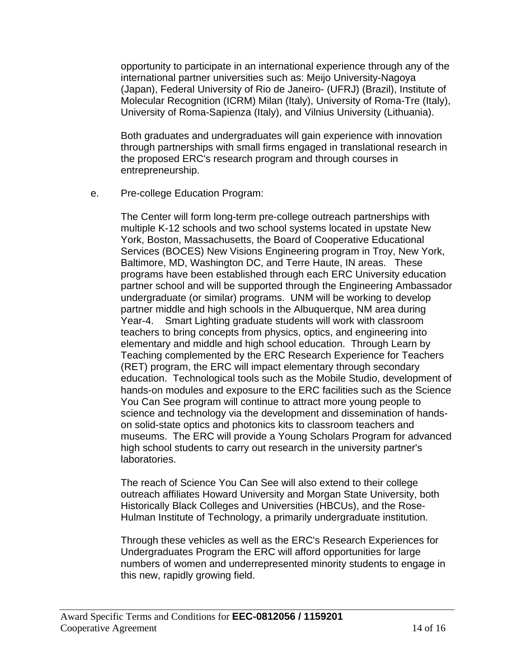opportunity to participate in an international experience through any of the international partner universities such as: Meijo University-Nagoya (Japan), Federal University of Rio de Janeiro- (UFRJ) (Brazil), Institute of Molecular Recognition (ICRM) Milan (Italy), University of Roma-Tre (Italy), University of Roma-Sapienza (Italy), and Vilnius University (Lithuania).

Both graduates and undergraduates will gain experience with innovation through partnerships with small firms engaged in translational research in the proposed ERC's research program and through courses in entrepreneurship.

e. Pre-college Education Program:

The Center will form long-term pre-college outreach partnerships with multiple K-12 schools and two school systems located in upstate New York, Boston, Massachusetts, the Board of Cooperative Educational Services (BOCES) New Visions Engineering program in Troy, New York, Baltimore, MD, Washington DC, and Terre Haute, IN areas. These programs have been established through each ERC University education partner school and will be supported through the Engineering Ambassador undergraduate (or similar) programs. UNM will be working to develop partner middle and high schools in the Albuquerque, NM area during Year-4. Smart Lighting graduate students will work with classroom teachers to bring concepts from physics, optics, and engineering into elementary and middle and high school education. Through Learn by Teaching complemented by the ERC Research Experience for Teachers (RET) program, the ERC will impact elementary through secondary education. Technological tools such as the Mobile Studio, development of hands-on modules and exposure to the ERC facilities such as the Science You Can See program will continue to attract more young people to science and technology via the development and dissemination of handson solid-state optics and photonics kits to classroom teachers and museums. The ERC will provide a Young Scholars Program for advanced high school students to carry out research in the university partner's laboratories.

The reach of Science You Can See will also extend to their college outreach affiliates Howard University and Morgan State University, both Historically Black Colleges and Universities (HBCUs), and the Rose-Hulman Institute of Technology, a primarily undergraduate institution.

Through these vehicles as well as the ERC's Research Experiences for Undergraduates Program the ERC will afford opportunities for large numbers of women and underrepresented minority students to engage in this new, rapidly growing field.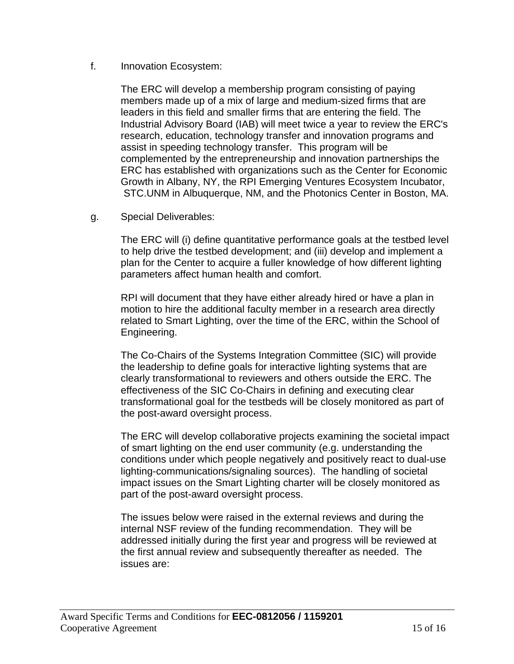#### f. Innovation Ecosystem:

The ERC will develop a membership program consisting of paying members made up of a mix of large and medium-sized firms that are leaders in this field and smaller firms that are entering the field. The Industrial Advisory Board (IAB) will meet twice a year to review the ERC's research, education, technology transfer and innovation programs and assist in speeding technology transfer. This program will be complemented by the entrepreneurship and innovation partnerships the ERC has established with organizations such as the Center for Economic Growth in Albany, NY, the RPI Emerging Ventures Ecosystem Incubator, STC.UNM in Albuquerque, NM, and the Photonics Center in Boston, MA.

g. Special Deliverables:

The ERC will (i) define quantitative performance goals at the testbed level to help drive the testbed development; and (iii) develop and implement a plan for the Center to acquire a fuller knowledge of how different lighting parameters affect human health and comfort.

RPI will document that they have either already hired or have a plan in motion to hire the additional faculty member in a research area directly related to Smart Lighting, over the time of the ERC, within the School of Engineering.

The Co-Chairs of the Systems Integration Committee (SIC) will provide the leadership to define goals for interactive lighting systems that are clearly transformational to reviewers and others outside the ERC. The effectiveness of the SIC Co-Chairs in defining and executing clear transformational goal for the testbeds will be closely monitored as part of the post-award oversight process.

The ERC will develop collaborative projects examining the societal impact of smart lighting on the end user community (e.g. understanding the conditions under which people negatively and positively react to dual-use lighting-communications/signaling sources). The handling of societal impact issues on the Smart Lighting charter will be closely monitored as part of the post-award oversight process.

The issues below were raised in the external reviews and during the internal NSF review of the funding recommendation. They will be addressed initially during the first year and progress will be reviewed at the first annual review and subsequently thereafter as needed. The issues are: